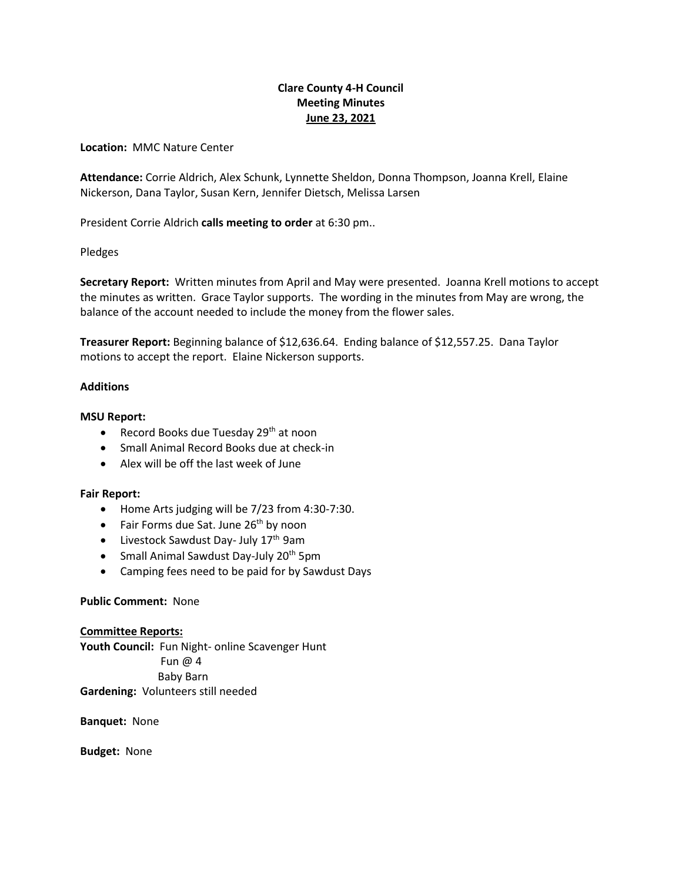# **Clare County 4-H Council Meeting Minutes June 23, 2021**

**Location:** MMC Nature Center

**Attendance:** Corrie Aldrich, Alex Schunk, Lynnette Sheldon, Donna Thompson, Joanna Krell, Elaine Nickerson, Dana Taylor, Susan Kern, Jennifer Dietsch, Melissa Larsen

President Corrie Aldrich **calls meeting to order** at 6:30 pm..

Pledges

**Secretary Report:** Written minutes from April and May were presented. Joanna Krell motions to accept the minutes as written. Grace Taylor supports. The wording in the minutes from May are wrong, the balance of the account needed to include the money from the flower sales.

**Treasurer Report:** Beginning balance of \$12,636.64. Ending balance of \$12,557.25. Dana Taylor motions to accept the report. Elaine Nickerson supports.

### **Additions**

### **MSU Report:**

- Record Books due Tuesday  $29<sup>th</sup>$  at noon
- Small Animal Record Books due at check-in
- Alex will be off the last week of June

#### **Fair Report:**

- Home Arts judging will be 7/23 from 4:30-7:30.
- Fair Forms due Sat. June  $26<sup>th</sup>$  by noon
- $\bullet$  Livestock Sawdust Day- July 17<sup>th</sup> 9am
- Small Animal Sawdust Day-July 20<sup>th</sup> 5pm
- Camping fees need to be paid for by Sawdust Days

## **Public Comment:** None

**Committee Reports: Youth Council:** Fun Night- online Scavenger Hunt Fun @ 4 Baby Barn **Gardening:** Volunteers still needed

**Banquet:** None

**Budget:** None